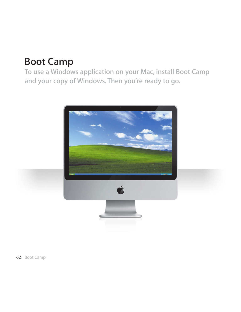## **Boot Camp**

**To use a Windows application on your Mac, install Boot Camp and your copy of Windows. Then you're ready to go.**



62 Boot Camp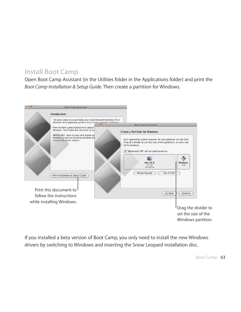## **Install Boot Camp**

Open Boot Camp Assistant (in the Utilities folder in the Applications folder) and print the Boot Camp Installation & Setup Guide. Then create a partition for Windows.



If you installed a beta version of Boot Camp, you only need to install the new Windows drivers by switching to Windows and inserting the Snow Leopard installation disc.

Boot Camp 63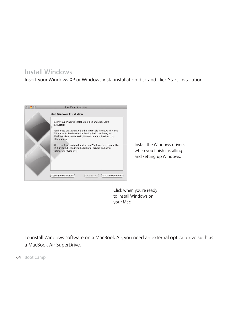## **Install Windows**

Insert your Windows XP or Windows Vista installation disc and click Start Installation.



To install Windows software on a MacBook Air, you need an external optical drive such as a MacBook Air SuperDrive.

64 Boot Camp